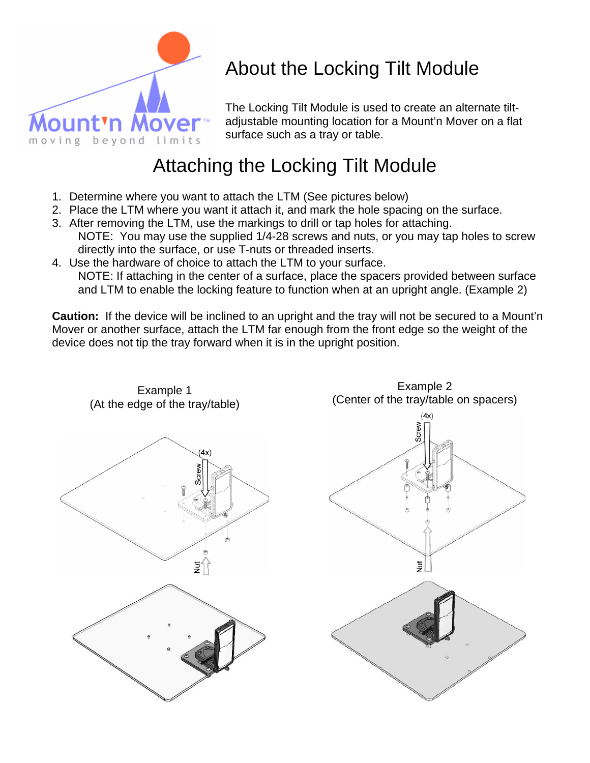

# About the Locking Tilt Module

The Locking Tilt Module is used to create an alternate tiltadjustable mounting location for a Mount'n Mover on a flat surface such as a tray or table.

### Attaching the Locking Tilt Module

- 1. Determine where you want to attach the LTM (See pictures below)
- 2. Place the LTM where you want it attach it, and mark the hole spacing on the surface.
- 3. After removing the LTM, use the markings to drill or tap holes for attaching. NOTE: You may use the supplied 1/4-28 screws and nuts, or you may tap holes to screw directly into the surface, or use T-nuts or threaded inserts.
- 4. Use the hardware of choice to attach the LTM to your surface. NOTE: If attaching in the center of a surface, place the spacers provided between surface and LTM to enable the locking feature to function when at an upright angle. (Example 2)

**Caution:** If the device will be inclined to an upright and the tray will not be secured to a Mount'n Mover or another surface, attach the LTM far enough from the front edge so the weight of the device does not tip the tray forward when it is in the upright position.